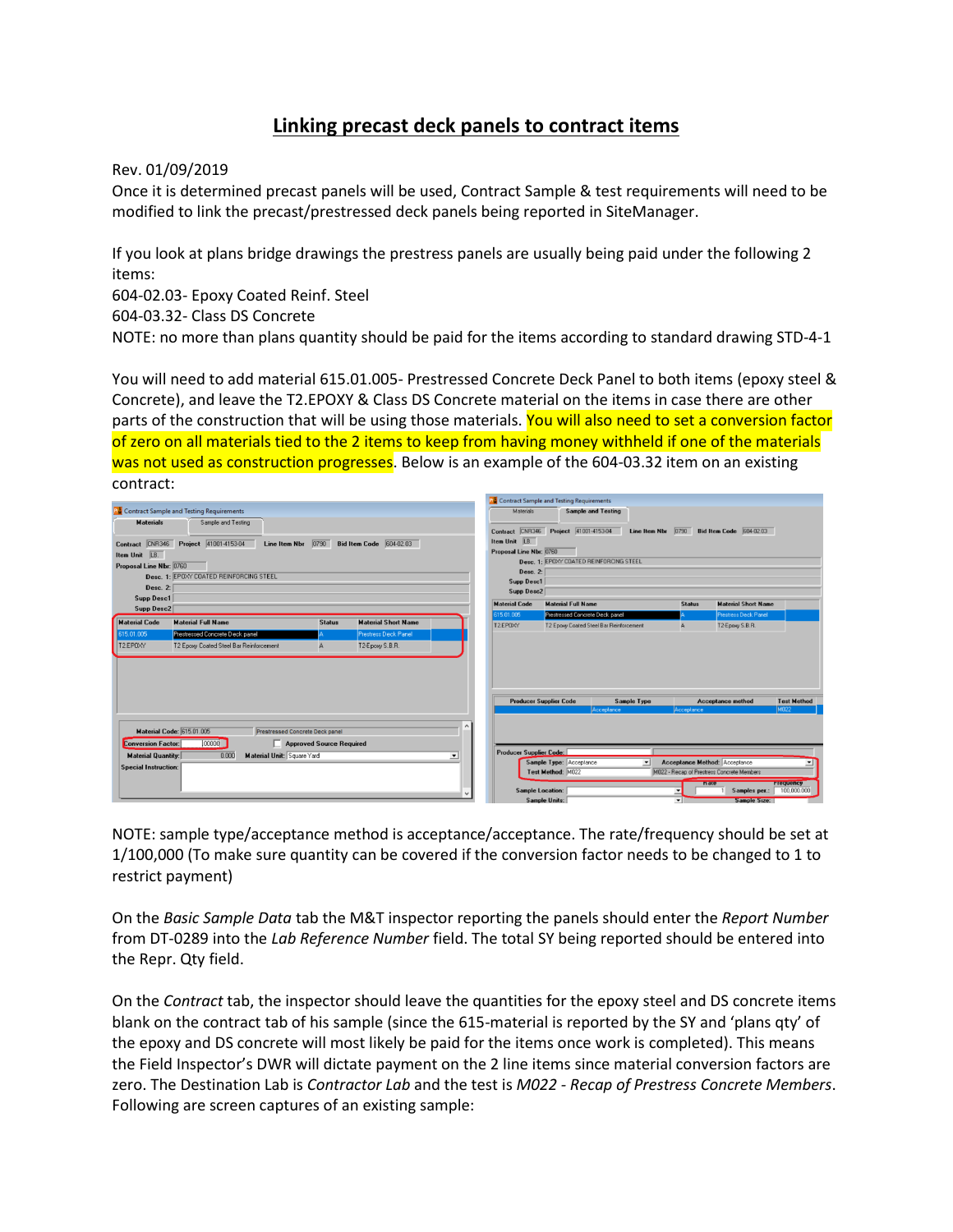## **Linking precast deck panels to contract items**

Rev. 01/09/2019

Once it is determined precast panels will be used, Contract Sample & test requirements will need to be modified to link the precast/prestressed deck panels being reported in SiteManager.

If you look at plans bridge drawings the prestress panels are usually being paid under the following 2 items:

604-02.03- Epoxy Coated Reinf. Steel

604-03.32- Class DS Concrete

NOTE: no more than plans quantity should be paid for the items according to standard drawing STD-4-1

You will need to add material 615.01.005- Prestressed Concrete Deck Panel to both items (epoxy steel & Concrete), and leave the T2.EPOXY & Class DS Concrete material on the items in case there are other parts of the construction that will be using those materials. You will also need to set a conversion factor of zero on all materials tied to the 2 items to keep from having money withheld if one of the materials was not used as construction progresses. Below is an example of the 604-03.32 item on an existing contract:

|                                                                                                                                                                                                                                                |                                                    |                                             |  |                                                                                                                                                                                                                              | <b>Contract Sample and Testing Requirements</b> |               |                            |                    |  |  |  |
|------------------------------------------------------------------------------------------------------------------------------------------------------------------------------------------------------------------------------------------------|----------------------------------------------------|---------------------------------------------|--|------------------------------------------------------------------------------------------------------------------------------------------------------------------------------------------------------------------------------|-------------------------------------------------|---------------|----------------------------|--------------------|--|--|--|
|                                                                                                                                                                                                                                                | <b>RE</b> Contract Sample and Testing Requirements |                                             |  | Materials                                                                                                                                                                                                                    | <b>Sample and Testing</b>                       |               |                            |                    |  |  |  |
| <b>Materials</b><br>Sample and Testing<br>Contract CNR346 Project 41001-4153-04<br>Bid Item Code 604-02.03<br><b>Line Item Nbr</b> $0790$<br>Item Unit LB.<br>Proposal Line Nbr: 0760<br>Desc. 1: EPOXY COATED REINFORCING STEEL<br>Desc. $2:$ |                                                    |                                             |  | Contract CNR346 Project 41001-4153-04<br>Bid Item Code 604-02.03<br>Line Item Nbr 0790<br>Item Unit LB.<br>Proposal Line Nbr: 0760<br>Desc. 1: EPOXY COATED REINFORCING STEEL<br>Desc. 2:<br><b>Supp Desc1</b><br>Supp Desc2 |                                                 |               |                            |                    |  |  |  |
| Supp Desc1                                                                                                                                                                                                                                     |                                                    |                                             |  | <b>Material Code</b>                                                                                                                                                                                                         | <b>Material Full Name</b>                       | <b>Status</b> | <b>Material Short Name</b> |                    |  |  |  |
| Supp Desc2                                                                                                                                                                                                                                     |                                                    |                                             |  | 615.01.005                                                                                                                                                                                                                   | Prestressed Concrete Deck panel                 |               | Prestress Deck Panel       |                    |  |  |  |
| <b>Material Code</b>                                                                                                                                                                                                                           | <b>Material Full Name</b>                          | <b>Material Short Name</b><br><b>Status</b> |  | T2.EP0XY                                                                                                                                                                                                                     | T2 Epoxy Coated Steel Bar Reinforcement         | А             | T2-Epoxy S.B.R.            |                    |  |  |  |
| 615.01.005                                                                                                                                                                                                                                     | <b>Prestressed Concrete Deck panel</b>             | Prestress Deck Panel                        |  |                                                                                                                                                                                                                              |                                                 |               |                            |                    |  |  |  |
|                                                                                                                                                                                                                                                |                                                    |                                             |  |                                                                                                                                                                                                                              |                                                 |               |                            |                    |  |  |  |
|                                                                                                                                                                                                                                                |                                                    |                                             |  |                                                                                                                                                                                                                              |                                                 |               |                            |                    |  |  |  |
|                                                                                                                                                                                                                                                |                                                    |                                             |  |                                                                                                                                                                                                                              | <b>Producer Supplier Code</b><br>Sample Type    |               | <b>Acceptance method</b>   | <b>Test Method</b> |  |  |  |
|                                                                                                                                                                                                                                                |                                                    |                                             |  |                                                                                                                                                                                                                              | Acceptance                                      | Acceptance    |                            | M <sub>022</sub>   |  |  |  |

NOTE: sample type/acceptance method is acceptance/acceptance. The rate/frequency should be set at 1/100,000 (To make sure quantity can be covered if the conversion factor needs to be changed to 1 to restrict payment)

On the *Basic Sample Data* tab the M&T inspector reporting the panels should enter the *Report Number* from DT-0289 into the *Lab Reference Number* field. The total SY being reported should be entered into the Repr. Qty field.

On the *Contract* tab, the inspector should leave the quantities for the epoxy steel and DS concrete items blank on the contract tab of his sample (since the 615-material is reported by the SY and 'plans qty' of the epoxy and DS concrete will most likely be paid for the items once work is completed). This means the Field Inspector's DWR will dictate payment on the 2 line items since material conversion factors are zero. The Destination Lab is *Contractor Lab* and the test is *M022 - Recap of Prestress Concrete Members*. Following are screen captures of an existing sample: